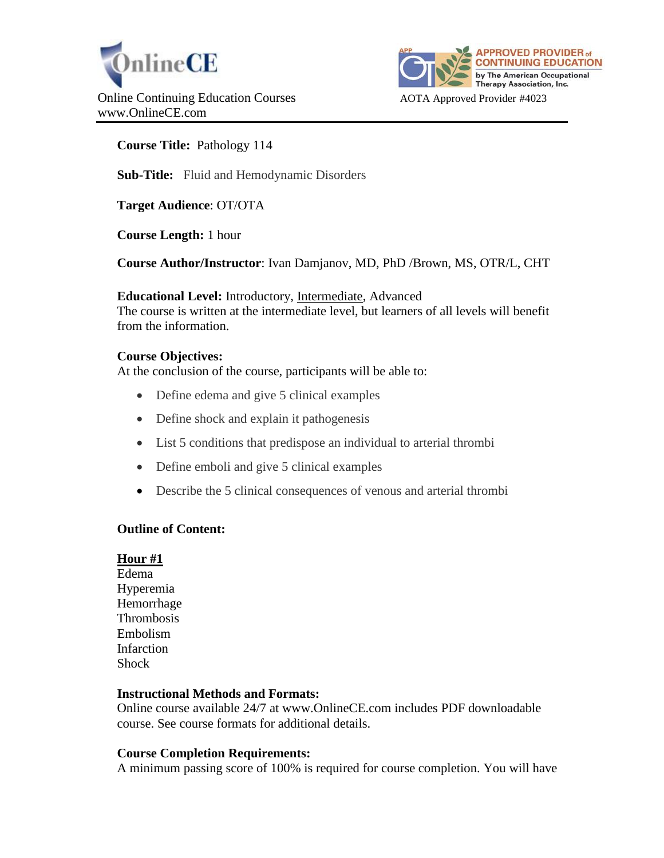



**Course Title:** Pathology 114

**Sub-Title:** Fluid and Hemodynamic Disorders

**Target Audience**: OT/OTA

**Course Length:** 1 hour

**Course Author/Instructor**: Ivan Damjanov, MD, PhD /Brown, MS, OTR/L, CHT

**Educational Level:** Introductory, Intermediate, Advanced The course is written at the intermediate level, but learners of all levels will benefit from the information.

### **Course Objectives:**

At the conclusion of the course, participants will be able to:

- Define edema and give 5 clinical examples
- Define shock and explain it pathogenesis
- List 5 conditions that predispose an individual to arterial thrombi
- Define emboli and give 5 clinical examples
- Describe the 5 clinical consequences of venous and arterial thrombi

### **Outline of Content:**

### **Hour #1**

Edema Hyperemia Hemorrhage Thrombosis Embolism Infarction **Shock** 

### **Instructional Methods and Formats:**

Online course available 24/7 at www.OnlineCE.com includes PDF downloadable course. See course formats for additional details.

### **Course Completion Requirements:**

A minimum passing score of 100% is required for course completion. You will have